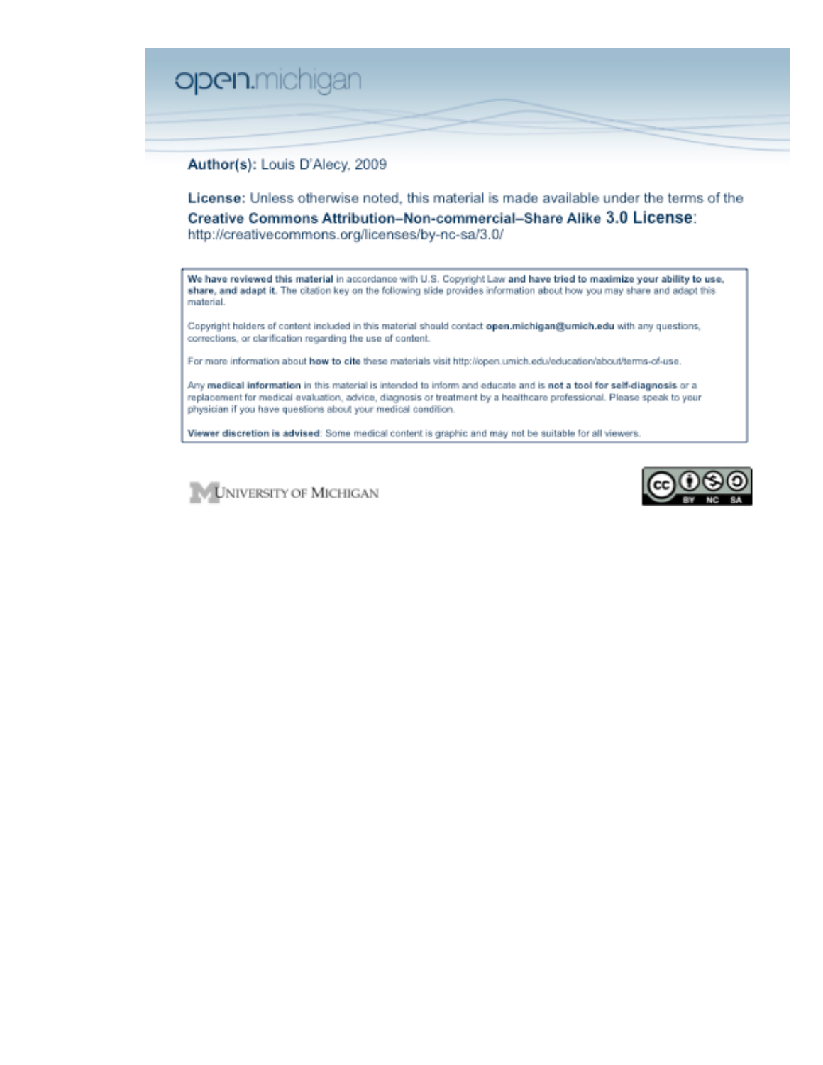

Author(s): Louis D'Alecy, 2009

License: Unless otherwise noted, this material is made available under the terms of the Creative Commons Attribution-Non-commercial-Share Alike 3.0 License: http://creativecommons.org/licenses/by-nc-sa/3.0/

We have reviewed this material in accordance with U.S. Copyright Law and have tried to maximize your ability to use, share, and adapt it. The citation key on the following slide provides information about how you may share and adapt this material.

Copyright holders of content included in this material should contact open.michigan@umich.edu with any questions, corrections, or clarification regarding the use of content.

For more information about how to cite these materials visit http://open.umich.edu/education/about/terms-of-use.

Any medical information in this material is intended to inform and educate and is not a tool for self-diagnosis or a replacement for medical evaluation, advice, diagnosis or treatment by a healthcare professional. Please speak to your physician if you have questions about your medical condition.

Viewer discretion is advised: Some medical content is graphic and may not be suitable for all viewers.



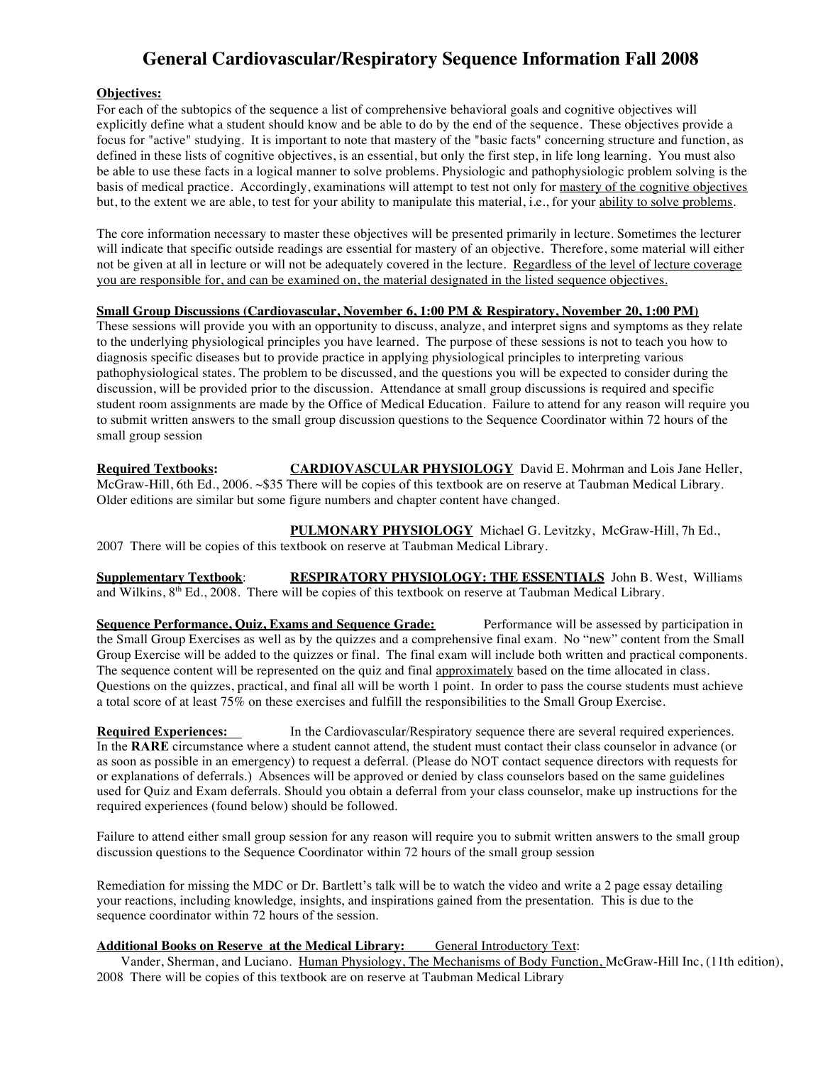# **General Cardiovascular/Respiratory Sequence Information Fall 2008**

#### **Objectives:**

For each of the subtopics of the sequence a list of comprehensive behavioral goals and cognitive objectives will explicitly define what a student should know and be able to do by the end of the sequence. These objectives provide a focus for "active" studying. It is important to note that mastery of the "basic facts" concerning structure and function, as defined in these lists of cognitive objectives, is an essential, but only the first step, in life long learning. You must also be able to use these facts in a logical manner to solve problems. Physiologic and pathophysiologic problem solving is the basis of medical practice. Accordingly, examinations will attempt to test not only for mastery of the cognitive objectives but, to the extent we are able, to test for your ability to manipulate this material, i.e., for your ability to solve problems.

The core information necessary to master these objectives will be presented primarily in lecture. Sometimes the lecturer will indicate that specific outside readings are essential for mastery of an objective. Therefore, some material will either not be given at all in lecture or will not be adequately covered in the lecture. Regardless of the level of lecture coverage you are responsible for, and can be examined on, the material designated in the listed sequence objectives.

#### **Small Group Discussions (Cardiovascular, November 6, 1:00 PM & Respiratory, November 20, 1:00 PM)**

These sessions will provide you with an opportunity to discuss, analyze, and interpret signs and symptoms as they relate to the underlying physiological principles you have learned. The purpose of these sessions is not to teach you how to diagnosis specific diseases but to provide practice in applying physiological principles to interpreting various pathophysiological states. The problem to be discussed, and the questions you will be expected to consider during the discussion, will be provided prior to the discussion. Attendance at small group discussions is required and specific student room assignments are made by the Office of Medical Education. Failure to attend for any reason will require you to submit written answers to the small group discussion questions to the Sequence Coordinator within 72 hours of the small group session

**Required Textbooks: CARDIOVASCULAR PHYSIOLOGY** David E. Mohrman and Lois Jane Heller, McGraw-Hill, 6th Ed., 2006. ~\$35 There will be copies of this textbook are on reserve at Taubman Medical Library. Older editions are similar but some figure numbers and chapter content have changed.

 **PULMONARY PHYSIOLOGY** Michael G. Levitzky, McGraw-Hill, 7h Ed., 2007 There will be copies of this textbook on reserve at Taubman Medical Library.

**Supplementary Textbook**: **RESPIRATORY PHYSIOLOGY: THE ESSENTIALS** John B. West, Williams and Wilkins, 8<sup>th</sup> Ed., 2008. There will be copies of this textbook on reserve at Taubman Medical Library.

**Sequence Performance, Quiz, Exams and Sequence Grade:** Performance will be assessed by participation in the Small Group Exercises as well as by the quizzes and a comprehensive final exam. No "new" content from the Small Group Exercise will be added to the quizzes or final. The final exam will include both written and practical components. The sequence content will be represented on the quiz and final approximately based on the time allocated in class. Questions on the quizzes, practical, and final all will be worth 1 point. In order to pass the course students must achieve a total score of at least 75% on these exercises and fulfill the responsibilities to the Small Group Exercise.

**Required Experiences:** In the Cardiovascular/Respiratory sequence there are several required experiences. In the **RARE** circumstance where a student cannot attend, the student must contact their class counselor in advance (or as soon as possible in an emergency) to request a deferral. (Please do NOT contact sequence directors with requests for or explanations of deferrals.) Absences will be approved or denied by class counselors based on the same guidelines used for Quiz and Exam deferrals. Should you obtain a deferral from your class counselor, make up instructions for the required experiences (found below) should be followed.

Failure to attend either small group session for any reason will require you to submit written answers to the small group discussion questions to the Sequence Coordinator within 72 hours of the small group session

Remediation for missing the MDC or Dr. Bartlett's talk will be to watch the video and write a 2 page essay detailing your reactions, including knowledge, insights, and inspirations gained from the presentation. This is due to the sequence coordinator within 72 hours of the session.

**Additional Books on Reserve at the Medical Library:** General Introductory Text:

Vander, Sherman, and Luciano. Human Physiology, The Mechanisms of Body Function, McGraw-Hill Inc, (11th edition), 2008 There will be copies of this textbook are on reserve at Taubman Medical Library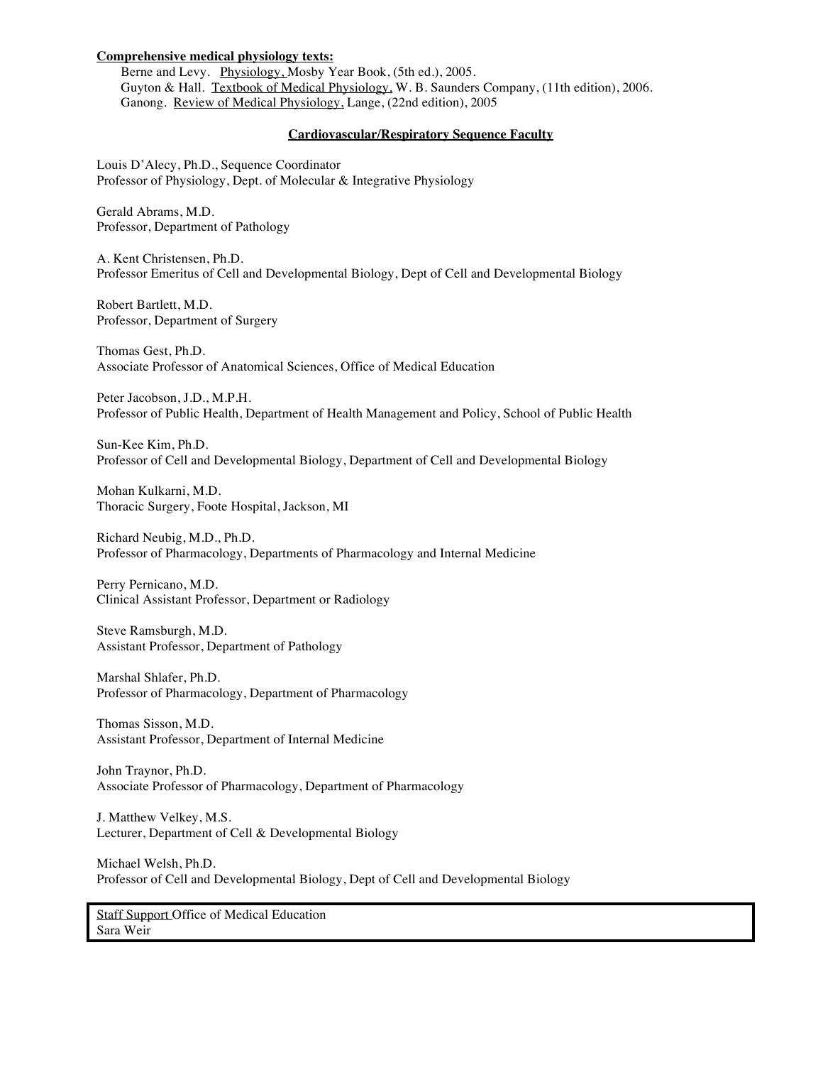#### **Comprehensive medical physiology texts:**

Berne and Levy. Physiology, Mosby Year Book, (5th ed.), 2005. Guyton & Hall. Textbook of Medical Physiology, W. B. Saunders Company, (11th edition), 2006. Ganong. Review of Medical Physiology, Lange, (22nd edition), 2005

#### **Cardiovascular/Respiratory Sequence Faculty**

Louis D'Alecy, Ph.D., Sequence Coordinator Professor of Physiology, Dept. of Molecular & Integrative Physiology

Gerald Abrams, M.D. Professor, Department of Pathology

A. Kent Christensen, Ph.D. Professor Emeritus of Cell and Developmental Biology, Dept of Cell and Developmental Biology

Robert Bartlett, M.D. Professor, Department of Surgery

Thomas Gest, Ph.D. Associate Professor of Anatomical Sciences, Office of Medical Education

Peter Jacobson, J.D., M.P.H. Professor of Public Health, Department of Health Management and Policy, School of Public Health

Sun-Kee Kim, Ph.D. Professor of Cell and Developmental Biology, Department of Cell and Developmental Biology

Mohan Kulkarni, M.D. Thoracic Surgery, Foote Hospital, Jackson, MI

Richard Neubig, M.D., Ph.D. Professor of Pharmacology, Departments of Pharmacology and Internal Medicine

Perry Pernicano, M.D. Clinical Assistant Professor, Department or Radiology

Steve Ramsburgh, M.D. Assistant Professor, Department of Pathology

Marshal Shlafer, Ph.D. Professor of Pharmacology, Department of Pharmacology

Thomas Sisson, M.D. Assistant Professor, Department of Internal Medicine

John Traynor, Ph.D. Associate Professor of Pharmacology, Department of Pharmacology

J. Matthew Velkey, M.S. Lecturer, Department of Cell & Developmental Biology

Michael Welsh, Ph.D. Professor of Cell and Developmental Biology, Dept of Cell and Developmental Biology

Staff Support Office of Medical Education Sara Weir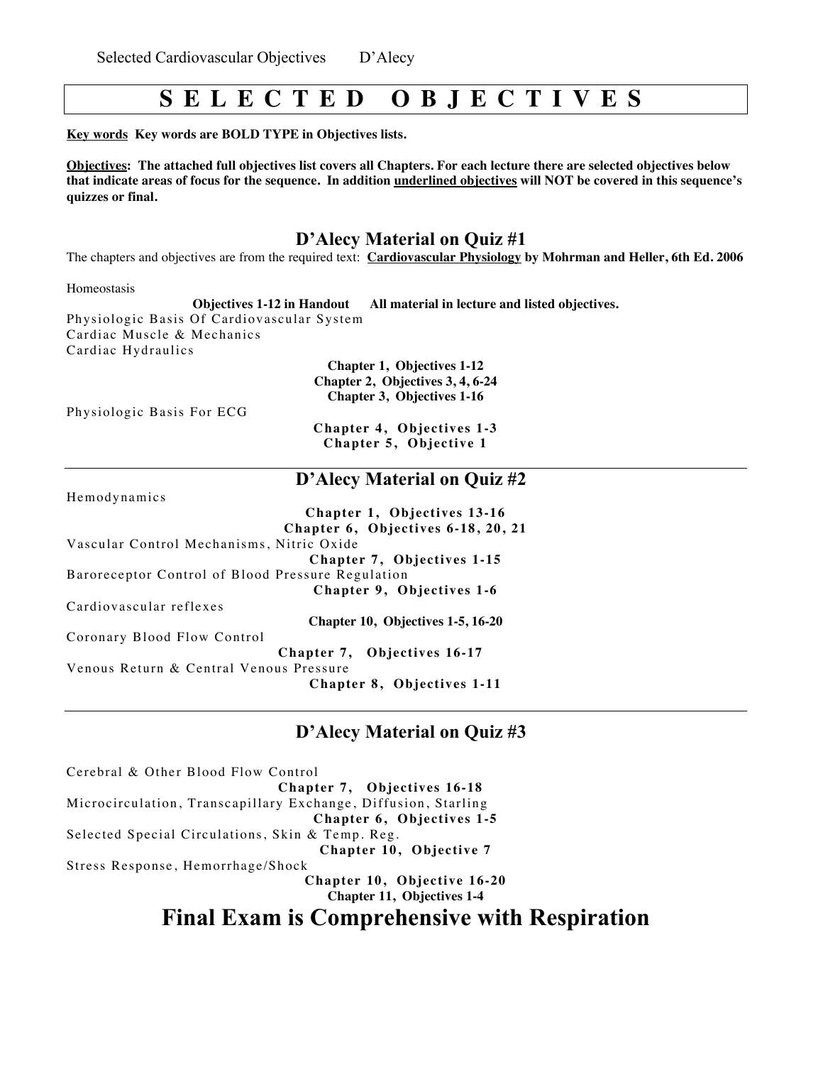# **S E L E C T E D O B J E C T I V E S**

**Key words Key words are BOLD TYPE in Objectives lists.** 

**Objectives: The attached full objectives list covers all Chapters. For each lecture there are selected objectives below that indicate areas of focus for the sequence. In addition underlined objectives will NOT be covered in this sequence's quizzes or final.** 

# **D'Alecy Material on Quiz #1**

The chapters and objectives are from the required text: **Cardiovascular Physiology by Mohrman and Heller, 6th Ed. 2006**

Homeostasis

**Objectives 1-12 in Handout All material in lecture and listed objectives.** Physiologic Basis Of Cardiovascular System Cardiac Muscle & Mechanics Cardiac Hydraulics

**Chapter 1, Objectives 1-12 Chapter 2, Objectives 3, 4, 6-24 Chapter 3, Objectives 1-16**

Physiologic Basis For ECG

**Chapter 4, Objectives 1-3 Chapter 5, Objective 1** 

# **D'Alecy Material on Quiz #2**

Hemodynamics

|                                                   | Chapter 1, Objectives 13-16        |
|---------------------------------------------------|------------------------------------|
|                                                   | Chapter 6, Objectives 6-18, 20, 21 |
| Vascular Control Mechanisms, Nitric Oxide         |                                    |
|                                                   | Chapter 7, Objectives 1-15         |
| Baroreceptor Control of Blood Pressure Regulation |                                    |
|                                                   | Chapter 9, Objectives 1-6          |
| Cardiovascular reflexes                           |                                    |
|                                                   | Chapter 10, Objectives 1-5, 16-20  |
| Coronary Blood Flow Control                       |                                    |
|                                                   | Chapter 7, Objectives 16-17        |
| Venous Return & Central Venous Pressure           | Chapter 8, Objectives 1-11         |

# **D'Alecy Material on Quiz #3**

Cerebral & Other Blood Flow Control **Chapter 7, Objectives 16-18** Microcirculation, Transcapillary Exchange, Diffusion, Starling **Chapter 6, Objectives 1-5** Selected Special Circulations, Skin & Temp. Reg. **Chapter 10, Objective 7** Stress Response, Hemorrhage/Shock **Chapter 10, Objective 16-20 Chapter 11, Objectives 1-4**

# **Final Exam is Comprehensive with Respiration**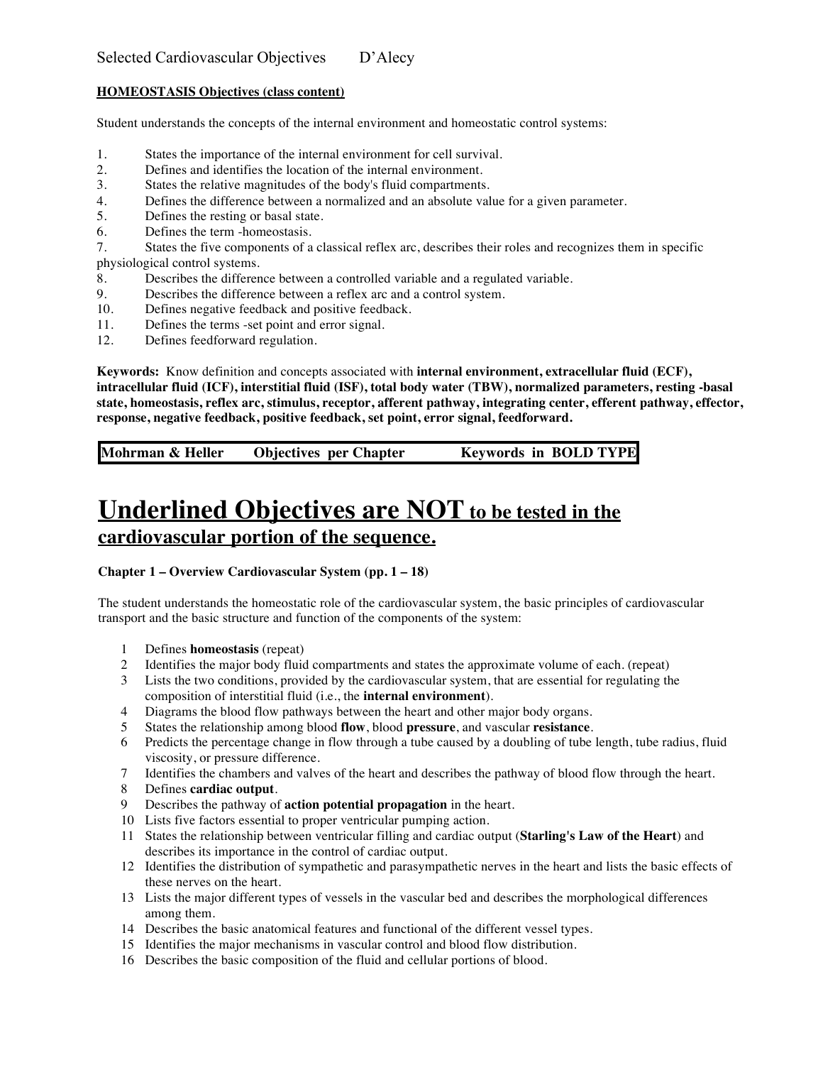## **HOMEOSTASIS Objectives (class content)**

Student understands the concepts of the internal environment and homeostatic control systems:

- 1. States the importance of the internal environment for cell survival.<br>2. Defines and identifies the location of the internal environment.
- Defines and identifies the location of the internal environment.
- 3. States the relative magnitudes of the body's fluid compartments.
- 4. Defines the difference between a normalized and an absolute value for a given parameter.
- 5. Defines the resting or basal state.
- 6. Defines the term -homeostasis.
- 7. States the five components of a classical reflex arc, describes their roles and recognizes them in specific physiological control systems.
- 8. Describes the difference between a controlled variable and a regulated variable.
- 9. Describes the difference between a reflex arc and a control system.
- 10. Defines negative feedback and positive feedback.<br>11. Defines the terms -set point and error signal.
- Defines the terms -set point and error signal.
- 12. Defines feedforward regulation.

**Keywords:** Know definition and concepts associated with **internal environment, extracellular fluid (ECF), intracellular fluid (ICF), interstitial fluid (ISF), total body water (TBW), normalized parameters, resting -basal state, homeostasis, reflex arc, stimulus, receptor, afferent pathway, integrating center, efferent pathway, effector, response, negative feedback, positive feedback, set point, error signal, feedforward.**

**Mohrman & Heller Objectives per Chapter Keywords in BOLD TYPE**

# **Underlined Objectives are NOT to be tested in the cardiovascular portion of the sequence.**

## **Chapter 1 – Overview Cardiovascular System (pp. 1 – 18)**

The student understands the homeostatic role of the cardiovascular system, the basic principles of cardiovascular transport and the basic structure and function of the components of the system:

- 1 Defines **homeostasis** (repeat)
- 2 Identifies the major body fluid compartments and states the approximate volume of each. (repeat)
- 3 Lists the two conditions, provided by the cardiovascular system, that are essential for regulating the composition of interstitial fluid (i.e., the **internal environment**).
- 4 Diagrams the blood flow pathways between the heart and other major body organs.
- 5 States the relationship among blood **flow**, blood **pressure**, and vascular **resistance**.
- 6 Predicts the percentage change in flow through a tube caused by a doubling of tube length, tube radius, fluid viscosity, or pressure difference.
- 7 Identifies the chambers and valves of the heart and describes the pathway of blood flow through the heart.
- 8 Defines **cardiac output**.
- 9 Describes the pathway of **action potential propagation** in the heart.
- 10 Lists five factors essential to proper ventricular pumping action.
- 11 States the relationship between ventricular filling and cardiac output (**Starling's Law of the Heart**) and describes its importance in the control of cardiac output.
- 12 Identifies the distribution of sympathetic and parasympathetic nerves in the heart and lists the basic effects of these nerves on the heart.
- 13 Lists the major different types of vessels in the vascular bed and describes the morphological differences among them.
- 14 Describes the basic anatomical features and functional of the different vessel types.
- 15 Identifies the major mechanisms in vascular control and blood flow distribution.
- 16 Describes the basic composition of the fluid and cellular portions of blood.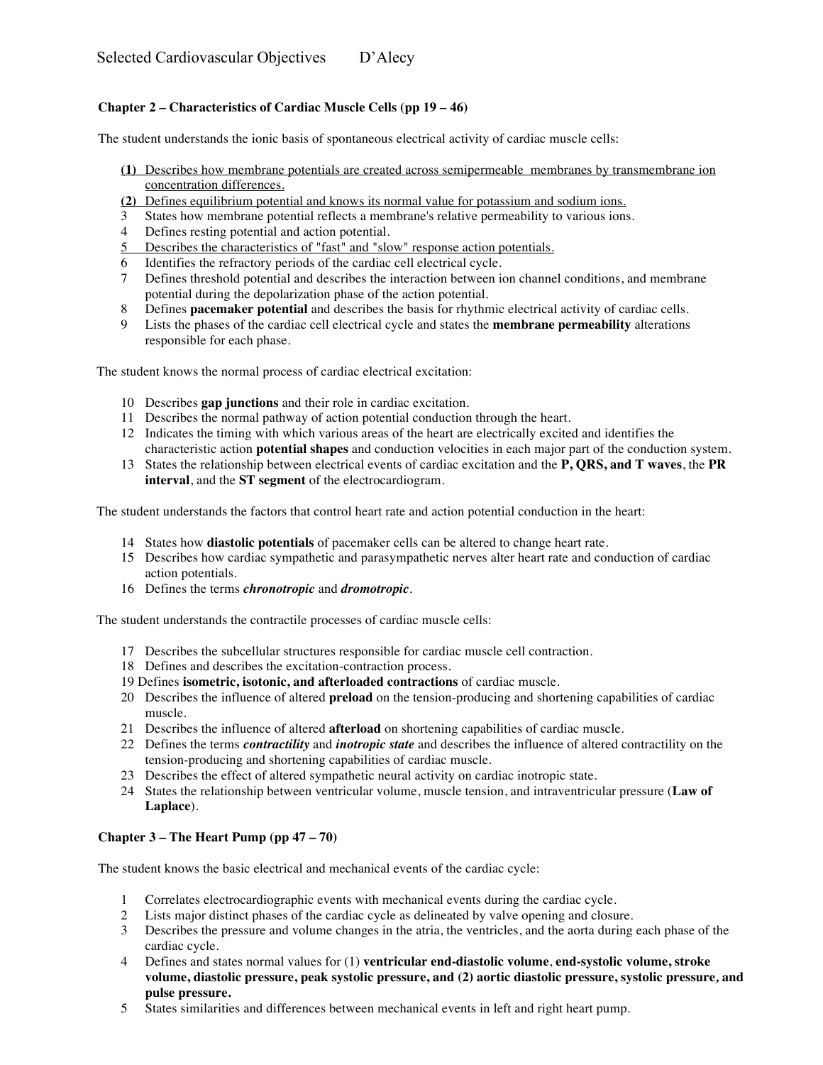# **Chapter 2 – Characteristics of Cardiac Muscle Cells (pp 19 – 46)**

The student understands the ionic basis of spontaneous electrical activity of cardiac muscle cells:

- **(1)** Describes how membrane potentials are created across semipermeable membranes by transmembrane ion concentration differences.
- **(2)** Defines equilibrium potential and knows its normal value for potassium and sodium ions.
- 3 States how membrane potential reflects a membrane's relative permeability to various ions.
- 4 Defines resting potential and action potential.
- 5 Describes the characteristics of "fast" and "slow" response action potentials.
- 6 Identifies the refractory periods of the cardiac cell electrical cycle.<br>
7 Defines threshold potential and describes the interaction between is
- 7 Defines threshold potential and describes the interaction between ion channel conditions, and membrane potential during the depolarization phase of the action potential.
- 8 Defines **pacemaker potential** and describes the basis for rhythmic electrical activity of cardiac cells.
- 9 Lists the phases of the cardiac cell electrical cycle and states the **membrane permeability** alterations responsible for each phase.

The student knows the normal process of cardiac electrical excitation:

- 10 Describes **gap junctions** and their role in cardiac excitation.
- 11 Describes the normal pathway of action potential conduction through the heart.
- 12 Indicates the timing with which various areas of the heart are electrically excited and identifies the characteristic action **potential shapes** and conduction velocities in each major part of the conduction system.
- 13 States the relationship between electrical events of cardiac excitation and the **P, QRS, and T waves**, the **PR interval**, and the **ST segment** of the electrocardiogram.

The student understands the factors that control heart rate and action potential conduction in the heart:

- 14 States how **diastolic potentials** of pacemaker cells can be altered to change heart rate.
- 15 Describes how cardiac sympathetic and parasympathetic nerves alter heart rate and conduction of cardiac action potentials.
- 16 Defines the terms *chronotropic* and *dromotropic*.

The student understands the contractile processes of cardiac muscle cells:

- 17 Describes the subcellular structures responsible for cardiac muscle cell contraction.
- 18 Defines and describes the excitation-contraction process.
- 19 Defines **isometric, isotonic, and afterloaded contractions** of cardiac muscle.
- 20 Describes the influence of altered **preload** on the tension-producing and shortening capabilities of cardiac muscle.
- 21 Describes the influence of altered **afterload** on shortening capabilities of cardiac muscle.
- 22 Defines the terms *contractility* and *inotropic state* and describes the influence of altered contractility on the tension-producing and shortening capabilities of cardiac muscle.
- 23 Describes the effect of altered sympathetic neural activity on cardiac inotropic state.
- 24 States the relationship between ventricular volume, muscle tension, and intraventricular pressure (**Law of Laplace**).

#### **Chapter 3 – The Heart Pump (pp 47 – 70)**

The student knows the basic electrical and mechanical events of the cardiac cycle:

- 1 Correlates electrocardiographic events with mechanical events during the cardiac cycle.
- 2 Lists major distinct phases of the cardiac cycle as delineated by valve opening and closure.
- 3 Describes the pressure and volume changes in the atria, the ventricles, and the aorta during each phase of the cardiac cycle.
- 4 Defines and states normal values for (1) **ventricular end-diastolic volume**, **end-systolic volume, stroke volume, diastolic pressure, peak systolic pressure, and (2) aortic diastolic pressure, systolic pressure***,* **and pulse pressure.**
- 5 States similarities and differences between mechanical events in left and right heart pump.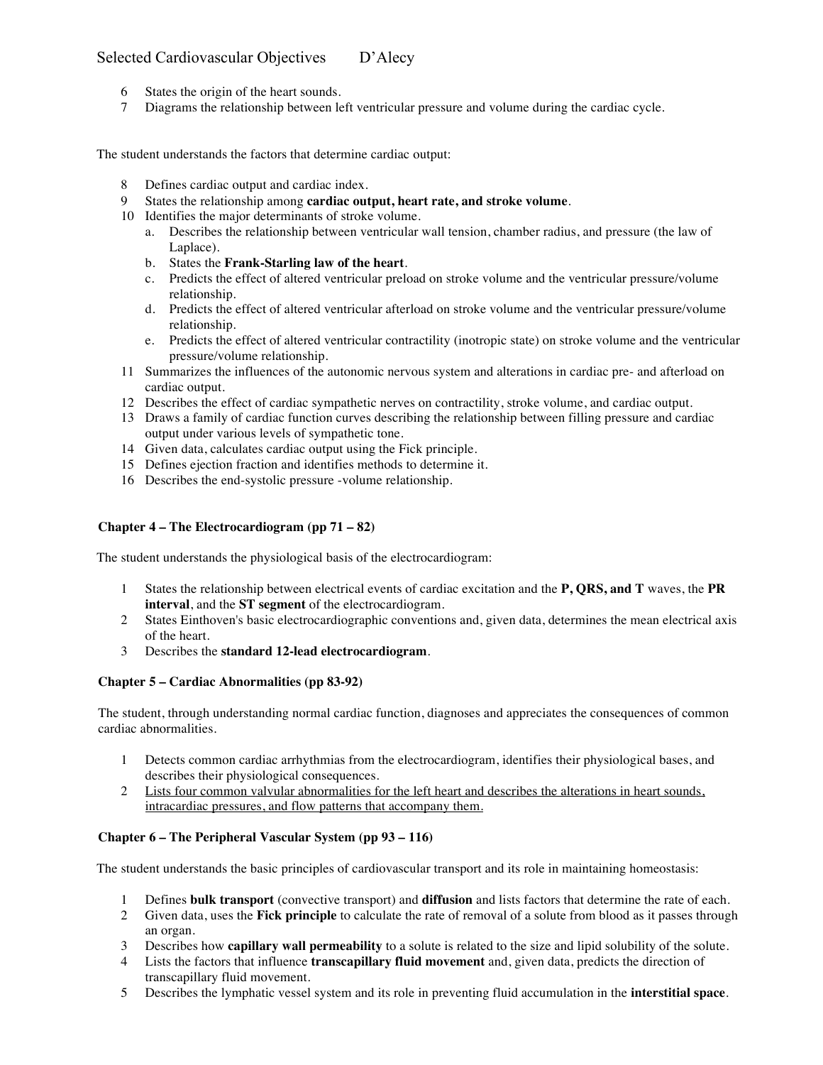- 6 States the origin of the heart sounds.
- 7 Diagrams the relationship between left ventricular pressure and volume during the cardiac cycle.

The student understands the factors that determine cardiac output:

- 8 Defines cardiac output and cardiac index.
- 9 States the relationship among **cardiac output, heart rate, and stroke volume**.
- 10 Identifies the major determinants of stroke volume.
	- a. Describes the relationship between ventricular wall tension, chamber radius, and pressure (the law of Laplace).
	- b. States the **Frank-Starling law of the heart**.
	- c. Predicts the effect of altered ventricular preload on stroke volume and the ventricular pressure/volume relationship.
	- d. Predicts the effect of altered ventricular afterload on stroke volume and the ventricular pressure/volume relationship.
	- e. Predicts the effect of altered ventricular contractility (inotropic state) on stroke volume and the ventricular pressure/volume relationship.
- 11 Summarizes the influences of the autonomic nervous system and alterations in cardiac pre- and afterload on cardiac output.
- 12 Describes the effect of cardiac sympathetic nerves on contractility, stroke volume, and cardiac output.
- 13 Draws a family of cardiac function curves describing the relationship between filling pressure and cardiac output under various levels of sympathetic tone.
- 14 Given data, calculates cardiac output using the Fick principle.
- 15 Defines ejection fraction and identifies methods to determine it.
- 16 Describes the end-systolic pressure -volume relationship.

#### **Chapter 4 – The Electrocardiogram (pp 71 – 82)**

The student understands the physiological basis of the electrocardiogram:

- 1 States the relationship between electrical events of cardiac excitation and the **P, QRS, and T** waves, the **PR interval**, and the **ST segment** of the electrocardiogram.
- 2 States Einthoven's basic electrocardiographic conventions and, given data, determines the mean electrical axis of the heart.
- 3 Describes the **standard 12-lead electrocardiogram**.

#### **Chapter 5 – Cardiac Abnormalities (pp 83-92)**

The student, through understanding normal cardiac function, diagnoses and appreciates the consequences of common cardiac abnormalities.

- 1 Detects common cardiac arrhythmias from the electrocardiogram, identifies their physiological bases, and describes their physiological consequences.
- 2 Lists four common valvular abnormalities for the left heart and describes the alterations in heart sounds, intracardiac pressures, and flow patterns that accompany them.

#### **Chapter 6 – The Peripheral Vascular System (pp 93 – 116)**

The student understands the basic principles of cardiovascular transport and its role in maintaining homeostasis:

- 1 Defines **bulk transport** (convective transport) and **diffusion** and lists factors that determine the rate of each.
- 2 Given data, uses the **Fick principle** to calculate the rate of removal of a solute from blood as it passes through an organ.
- 3 Describes how **capillary wall permeability** to a solute is related to the size and lipid solubility of the solute.
- 4 Lists the factors that influence **transcapillary fluid movement** and, given data, predicts the direction of transcapillary fluid movement.
- 5 Describes the lymphatic vessel system and its role in preventing fluid accumulation in the **interstitial space**.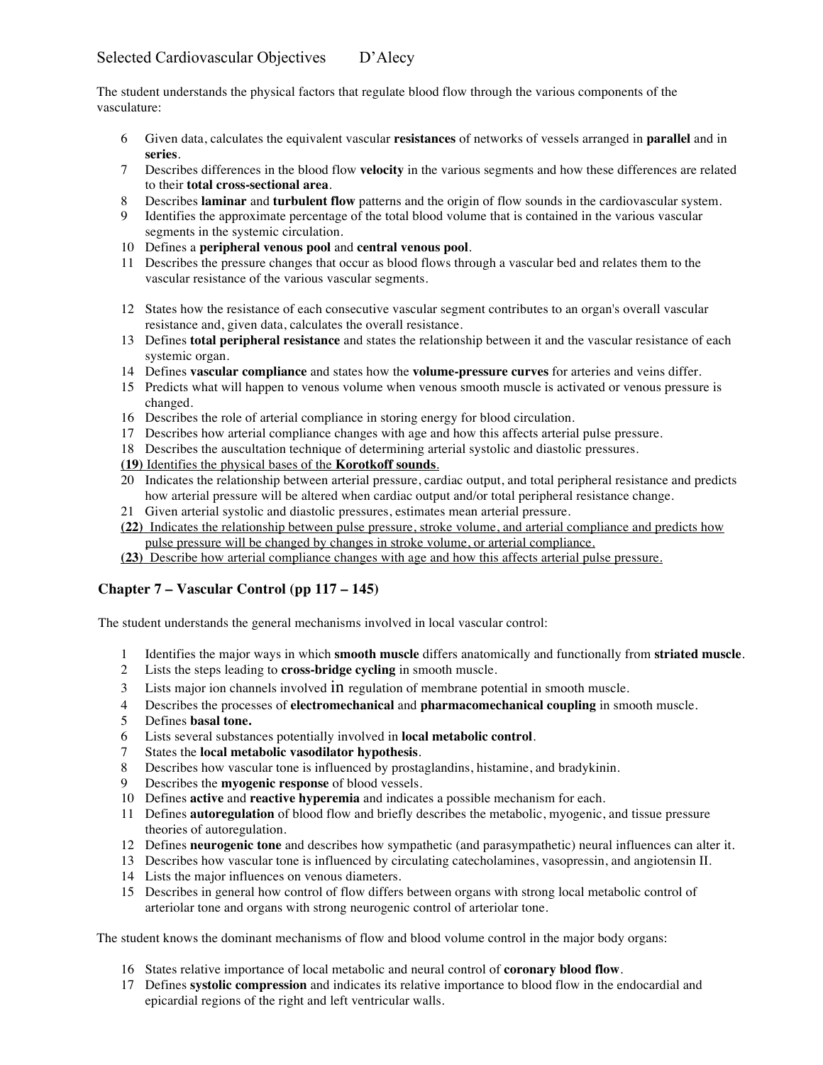The student understands the physical factors that regulate blood flow through the various components of the vasculature:

- Given data, calculates the equivalent vascular **resistances** of networks of vessels arranged in **parallel** and in **series**.
- Describes differences in the blood flow **velocity** in the various segments and how these differences are related to their **total cross-sectional area**.
- Describes **laminar** and **turbulent flow** patterns and the origin of flow sounds in the cardiovascular system.
- Identifies the approximate percentage of the total blood volume that is contained in the various vascular segments in the systemic circulation.
- Defines a **peripheral venous pool** and **central venous pool**.
- Describes the pressure changes that occur as blood flows through a vascular bed and relates them to the vascular resistance of the various vascular segments.
- States how the resistance of each consecutive vascular segment contributes to an organ's overall vascular resistance and, given data, calculates the overall resistance.
- Defines **total peripheral resistance** and states the relationship between it and the vascular resistance of each systemic organ.
- Defines **vascular compliance** and states how the **volume-pressure curves** for arteries and veins differ.
- Predicts what will happen to venous volume when venous smooth muscle is activated or venous pressure is changed.
- Describes the role of arterial compliance in storing energy for blood circulation.
- Describes how arterial compliance changes with age and how this affects arterial pulse pressure.
- Describes the auscultation technique of determining arterial systolic and diastolic pressures.
- **(19)** Identifies the physical bases of the **Korotkoff sounds**.
- Indicates the relationship between arterial pressure, cardiac output, and total peripheral resistance and predicts how arterial pressure will be altered when cardiac output and/or total peripheral resistance change.
- Given arterial systolic and diastolic pressures, estimates mean arterial pressure.
- **(22)** Indicates the relationship between pulse pressure, stroke volume, and arterial compliance and predicts how pulse pressure will be changed by changes in stroke volume, or arterial compliance.
- **(23)** Describe how arterial compliance changes with age and how this affects arterial pulse pressure.

## **Chapter 7 – Vascular Control (pp 117 – 145)**

The student understands the general mechanisms involved in local vascular control:

- Identifies the major ways in which **smooth muscle** differs anatomically and functionally from **striated muscle**.
- Lists the steps leading to **cross-bridge cycling** in smooth muscle.
- Lists major ion channels involved in regulation of membrane potential in smooth muscle.
- Describes the processes of **electromechanical** and **pharmacomechanical coupling** in smooth muscle.
- Defines **basal tone.**
- Lists several substances potentially involved in **local metabolic control**.
- States the **local metabolic vasodilator hypothesis**.
- Describes how vascular tone is influenced by prostaglandins, histamine, and bradykinin.
- Describes the **myogenic response** of blood vessels.
- Defines **active** and **reactive hyperemia** and indicates a possible mechanism for each.
- Defines **autoregulation** of blood flow and briefly describes the metabolic, myogenic, and tissue pressure theories of autoregulation.
- Defines **neurogenic tone** and describes how sympathetic (and parasympathetic) neural influences can alter it.
- Describes how vascular tone is influenced by circulating catecholamines, vasopressin, and angiotensin II.
- Lists the major influences on venous diameters.
- Describes in general how control of flow differs between organs with strong local metabolic control of arteriolar tone and organs with strong neurogenic control of arteriolar tone.

The student knows the dominant mechanisms of flow and blood volume control in the major body organs:

- States relative importance of local metabolic and neural control of **coronary blood flow**.
- Defines **systolic compression** and indicates its relative importance to blood flow in the endocardial and epicardial regions of the right and left ventricular walls.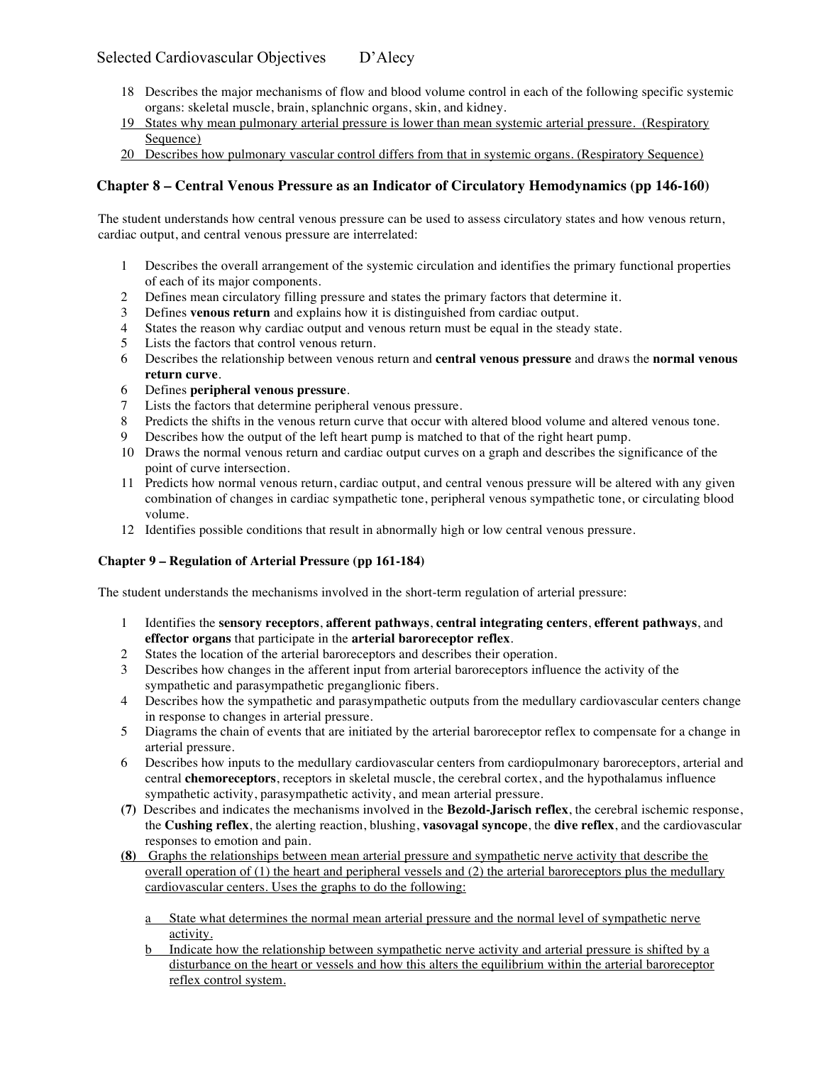- 18 Describes the major mechanisms of flow and blood volume control in each of the following specific systemic organs: skeletal muscle, brain, splanchnic organs, skin, and kidney.
- 19 States why mean pulmonary arterial pressure is lower than mean systemic arterial pressure. (Respiratory Sequence)
- 20 Describes how pulmonary vascular control differs from that in systemic organs. (Respiratory Sequence)

# **Chapter 8 – Central Venous Pressure as an Indicator of Circulatory Hemodynamics (pp 146-160)**

The student understands how central venous pressure can be used to assess circulatory states and how venous return, cardiac output, and central venous pressure are interrelated:

- 1 Describes the overall arrangement of the systemic circulation and identifies the primary functional properties of each of its major components.
- 2 Defines mean circulatory filling pressure and states the primary factors that determine it.
- 3 Defines **venous return** and explains how it is distinguished from cardiac output.
- 4 States the reason why cardiac output and venous return must be equal in the steady state.
- 5 Lists the factors that control venous return.
- 6 Describes the relationship between venous return and **central venous pressure** and draws the **normal venous return curve**.
- 6 Defines **peripheral venous pressure**.
- 7 Lists the factors that determine peripheral venous pressure.
- 8 Predicts the shifts in the venous return curve that occur with altered blood volume and altered venous tone.
- 9 Describes how the output of the left heart pump is matched to that of the right heart pump.
- 10 Draws the normal venous return and cardiac output curves on a graph and describes the significance of the point of curve intersection.
- 11 Predicts how normal venous return, cardiac output, and central venous pressure will be altered with any given combination of changes in cardiac sympathetic tone, peripheral venous sympathetic tone, or circulating blood volume.
- 12 Identifies possible conditions that result in abnormally high or low central venous pressure.

## **Chapter 9 – Regulation of Arterial Pressure (pp 161-184)**

The student understands the mechanisms involved in the short-term regulation of arterial pressure:

- 1 Identifies the **sensory receptors**, **afferent pathways**, **central integrating centers**, **efferent pathways**, and **effector organs** that participate in the **arterial baroreceptor reflex**.
- 2 States the location of the arterial baroreceptors and describes their operation.
- 3 Describes how changes in the afferent input from arterial baroreceptors influence the activity of the sympathetic and parasympathetic preganglionic fibers.
- 4 Describes how the sympathetic and parasympathetic outputs from the medullary cardiovascular centers change in response to changes in arterial pressure.
- 5 Diagrams the chain of events that are initiated by the arterial baroreceptor reflex to compensate for a change in arterial pressure.
- 6 Describes how inputs to the medullary cardiovascular centers from cardiopulmonary baroreceptors, arterial and central **chemoreceptors**, receptors in skeletal muscle, the cerebral cortex, and the hypothalamus influence sympathetic activity, parasympathetic activity, and mean arterial pressure.
- **(7)** Describes and indicates the mechanisms involved in the **Bezold-Jarisch reflex**, the cerebral ischemic response, the **Cushing reflex**, the alerting reaction, blushing, **vasovagal syncope**, the **dive reflex**, and the cardiovascular responses to emotion and pain.
- **(8)** Graphs the relationships between mean arterial pressure and sympathetic nerve activity that describe the overall operation of  $(1)$  the heart and peripheral vessels and  $(2)$  the arterial baroreceptors plus the medullary cardiovascular centers. Uses the graphs to do the following:
	- a State what determines the normal mean arterial pressure and the normal level of sympathetic nerve activity.
	- b Indicate how the relationship between sympathetic nerve activity and arterial pressure is shifted by a disturbance on the heart or vessels and how this alters the equilibrium within the arterial baroreceptor reflex control system.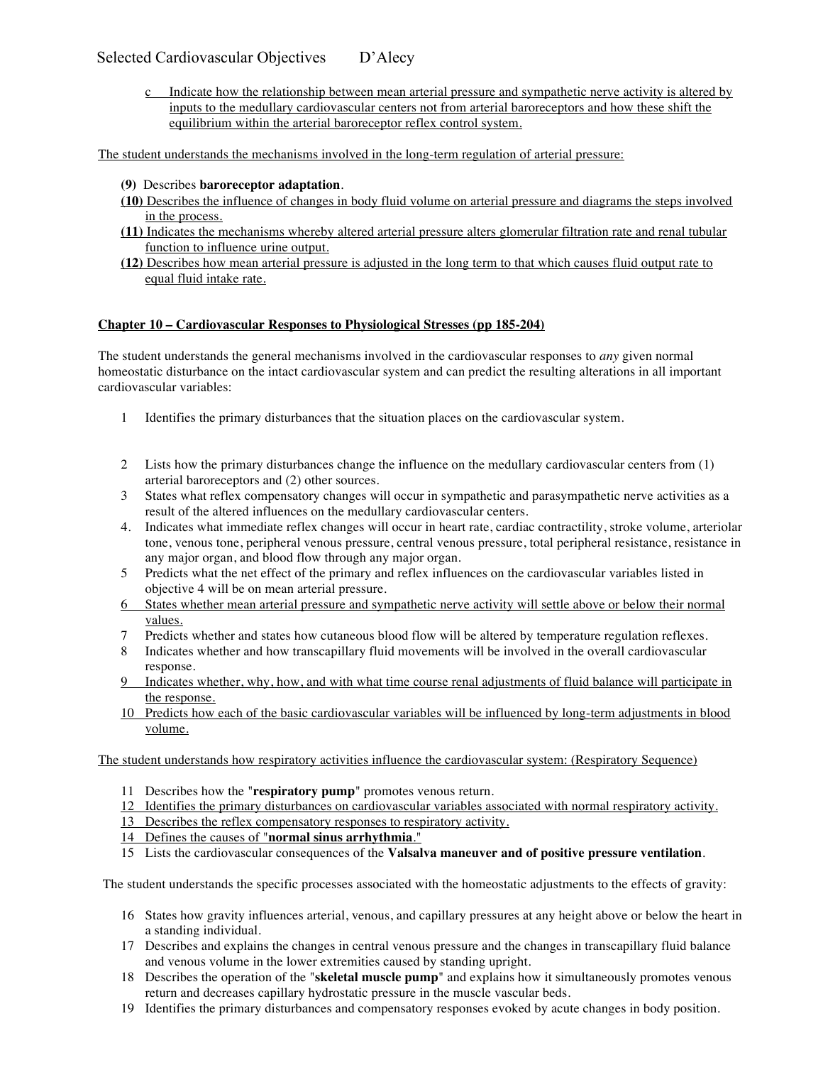c Indicate how the relationship between mean arterial pressure and sympathetic nerve activity is altered by inputs to the medullary cardiovascular centers not from arterial baroreceptors and how these shift the equilibrium within the arterial baroreceptor reflex control system.

The student understands the mechanisms involved in the long-term regulation of arterial pressure:

- **(9)** Describes **baroreceptor adaptation**.
- **(10)** Describes the influence of changes in body fluid volume on arterial pressure and diagrams the steps involved in the process.
- **(11)** Indicates the mechanisms whereby altered arterial pressure alters glomerular filtration rate and renal tubular function to influence urine output.
- **(12)** Describes how mean arterial pressure is adjusted in the long term to that which causes fluid output rate to equal fluid intake rate.

#### **Chapter 10 – Cardiovascular Responses to Physiological Stresses (pp 185-204)**

The student understands the general mechanisms involved in the cardiovascular responses to *any* given normal homeostatic disturbance on the intact cardiovascular system and can predict the resulting alterations in all important cardiovascular variables:

- 1 Identifies the primary disturbances that the situation places on the cardiovascular system.
- 2 Lists how the primary disturbances change the influence on the medullary cardiovascular centers from (1) arterial baroreceptors and (2) other sources.
- 3 States what reflex compensatory changes will occur in sympathetic and parasympathetic nerve activities as a result of the altered influences on the medullary cardiovascular centers.
- 4. Indicates what immediate reflex changes will occur in heart rate, cardiac contractility, stroke volume, arteriolar tone, venous tone, peripheral venous pressure, central venous pressure, total peripheral resistance, resistance in any major organ, and blood flow through any major organ.
- 5 Predicts what the net effect of the primary and reflex influences on the cardiovascular variables listed in objective 4 will be on mean arterial pressure.
- 6 States whether mean arterial pressure and sympathetic nerve activity will settle above or below their normal values.
- 7 Predicts whether and states how cutaneous blood flow will be altered by temperature regulation reflexes.
- 8 Indicates whether and how transcapillary fluid movements will be involved in the overall cardiovascular response.
- 9 Indicates whether, why, how, and with what time course renal adjustments of fluid balance will participate in the response.
- 10 Predicts how each of the basic cardiovascular variables will be influenced by long-term adjustments in blood volume.

The student understands how respiratory activities influence the cardiovascular system: (Respiratory Sequence)

- 11 Describes how the "**respiratory pump**" promotes venous return.
- 12 Identifies the primary disturbances on cardiovascular variables associated with normal respiratory activity.
- 13 Describes the reflex compensatory responses to respiratory activity.
- 14 Defines the causes of "**normal sinus arrhythmia**."
- 15 Lists the cardiovascular consequences of the **Valsalva maneuver and of positive pressure ventilation**.

The student understands the specific processes associated with the homeostatic adjustments to the effects of gravity:

- 16 States how gravity influences arterial, venous, and capillary pressures at any height above or below the heart in a standing individual.
- 17 Describes and explains the changes in central venous pressure and the changes in transcapillary fluid balance and venous volume in the lower extremities caused by standing upright.
- 18 Describes the operation of the "**skeletal muscle pump**" and explains how it simultaneously promotes venous return and decreases capillary hydrostatic pressure in the muscle vascular beds.
- 19 Identifies the primary disturbances and compensatory responses evoked by acute changes in body position.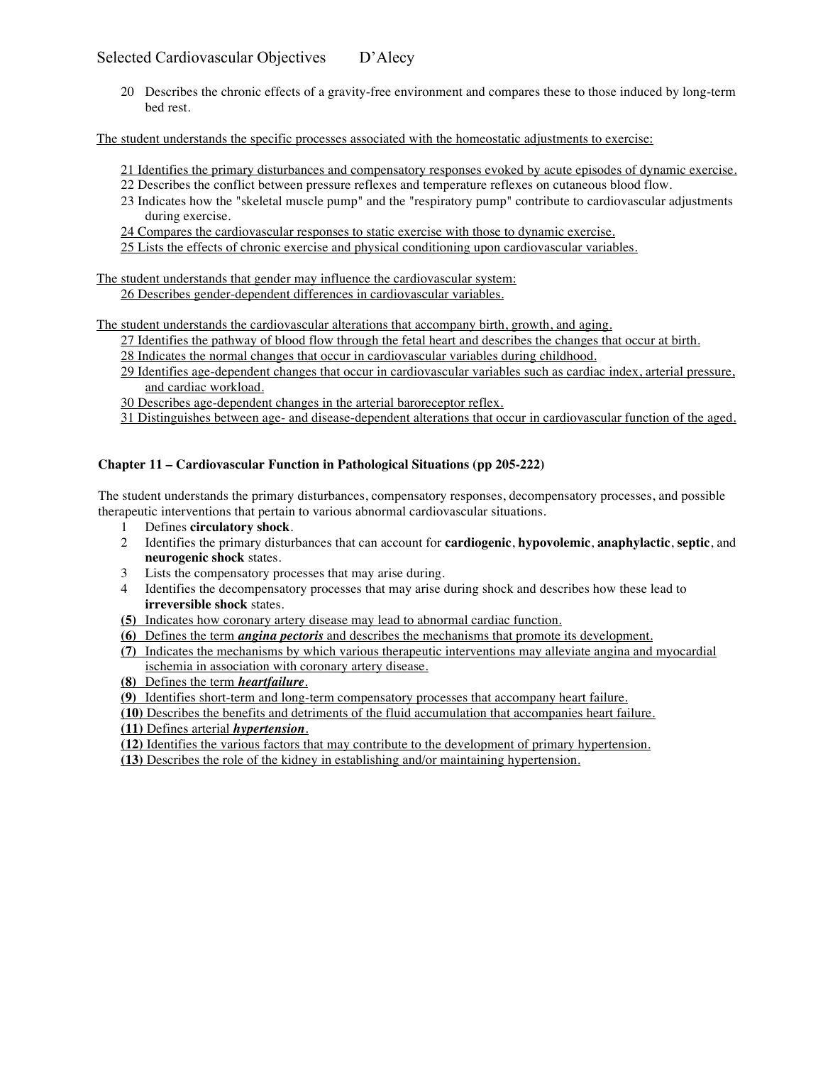20 Describes the chronic effects of a gravity-free environment and compares these to those induced by long-term bed rest.

The student understands the specific processes associated with the homeostatic adjustments to exercise:

- 21 Identifies the primary disturbances and compensatory responses evoked by acute episodes of dynamic exercise.
- 22 Describes the conflict between pressure reflexes and temperature reflexes on cutaneous blood flow.
- 23 Indicates how the "skeletal muscle pump" and the "respiratory pump" contribute to cardiovascular adjustments during exercise.

24 Compares the cardiovascular responses to static exercise with those to dynamic exercise.

25 Lists the effects of chronic exercise and physical conditioning upon cardiovascular variables.

The student understands that gender may influence the cardiovascular system:

26 Describes gender-dependent differences in cardiovascular variables.

The student understands the cardiovascular alterations that accompany birth, growth, and aging.

27 Identifies the pathway of blood flow through the fetal heart and describes the changes that occur at birth.

- 28 Indicates the normal changes that occur in cardiovascular variables during childhood.
- 29 Identifies age-dependent changes that occur in cardiovascular variables such as cardiac index, arterial pressure, and cardiac workload.
- 30 Describes age-dependent changes in the arterial baroreceptor reflex.
- 31 Distinguishes between age- and disease-dependent alterations that occur in cardiovascular function of the aged.

## **Chapter 11 – Cardiovascular Function in Pathological Situations (pp 205-222)**

The student understands the primary disturbances, compensatory responses, decompensatory processes, and possible therapeutic interventions that pertain to various abnormal cardiovascular situations.

- 1 Defines **circulatory shock**.
- 2 Identifies the primary disturbances that can account for **cardiogenic**, **hypovolemic**, **anaphylactic**, **septic**, and **neurogenic shock** states.
- 3 Lists the compensatory processes that may arise during.
- 4 Identifies the decompensatory processes that may arise during shock and describes how these lead to **irreversible shock** states.
- **(5)** Indicates how coronary artery disease may lead to abnormal cardiac function.
- **(6)** Defines the term *angina pectoris* and describes the mechanisms that promote its development.
- **(7)** Indicates the mechanisms by which various therapeutic interventions may alleviate angina and myocardial ischemia in association with coronary artery disease.
- **(8)** Defines the term *heartfailure.*
- **(9)** Identifies short-term and long-term compensatory processes that accompany heart failure.
- **(10)** Describes the benefits and detriments of the fluid accumulation that accompanies heart failure.

**(11)** Defines arterial *hypertension.*

- **(12)** Identifies the various factors that may contribute to the development of primary hypertension.
- **(13)** Describes the role of the kidney in establishing and/or maintaining hypertension.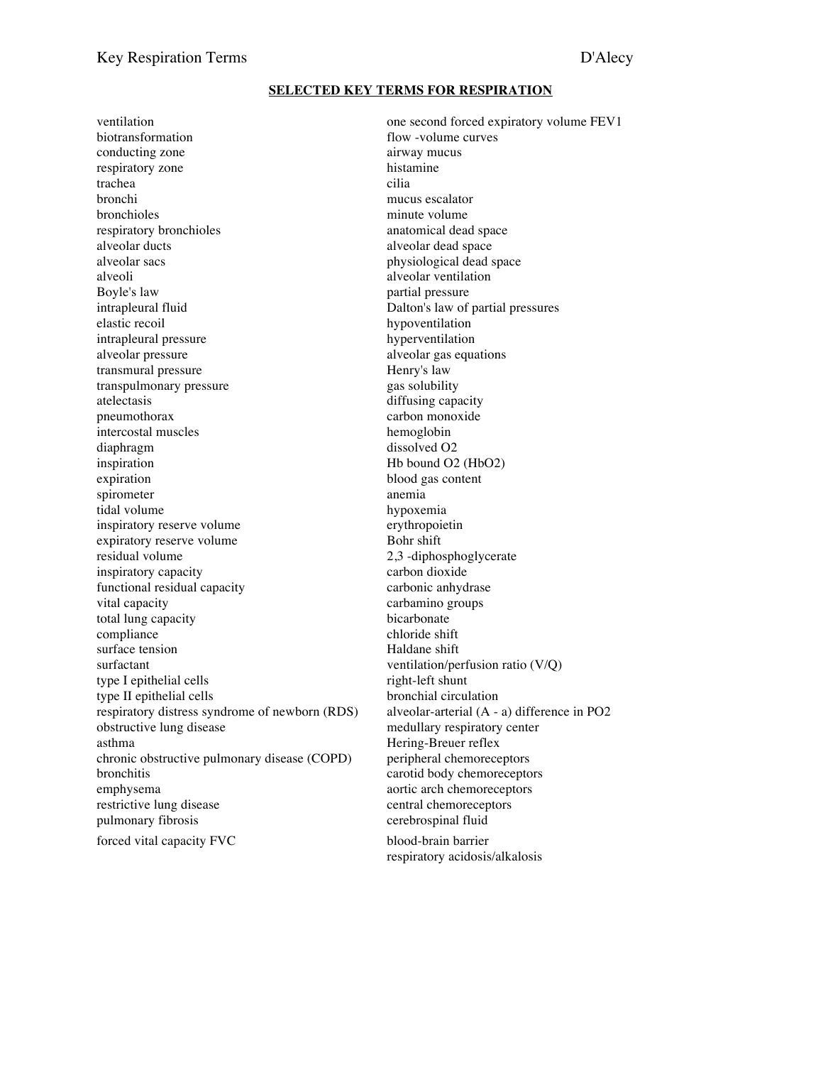#### **SELECTED KEY TERMS FOR RESPIRATION**

biotransformation flow -volume curves conducting zone airway mucus respiratory zone histamine trachea cilia bronchi mucus escalator<br>bronchioles minute volume respiratory bronchioles anatomical dead space alveolar ducts<br>alveolar sacs<br>alveolar sacs<br>alveolar dead space<br>blues alveolar dead space<br>physiological dead space alveoli alveolar ventilation Boyle's law partial pressure intrapleural fluid Dalton's law of partial pressures elastic recoil hypoventilation intrapleural pressure hyperventilation alveolar pressure alveolar gas equations<br>transmural pressure alveolar gas equations<br>Henry's law transmural pressure transpulmonary pressure example and the gas solubility atelectasis diffusing capacity pneumothorax carbon monoxide intercostal muscles hemoglobin diaphragm dissolved O2 inspiration Hb bound O2 (HbO2) expiration blood gas content spirometer anemia tidal volume hypoxemia inspiratory reserve volume<br>expiratory reserve volume<br>Bohr shift expiratory reserve volume<br>residual volume inspiratory capacity carbon dioxide functional residual capacity carbonic anhydrase vital capacity carbamino groups total lung capacity bicarbonate compliance chloride shift surface tension Haldane shift surfactant ventilation/perfusion ratio (V/Q) type I epithelial cells right-left shunt type II epithelial cells bronchial circulation respiratory distress syndrome of newborn (RDS) alveolar-arterial (A - a) difference in PO2 obstructive lung disease medullary respiratory center asthma Hering-Breuer reflex chronic obstructive pulmonary disease (COPD) peripheral chemoreceptors bronchitis carotid body chemoreceptors emphysema aortic arch chemoreceptors restrictive lung disease central chemoreceptors pulmonary fibrosis cerebrospinal fluid forced vital capacity FVC blood-brain barrier

ventilation one second forced expiratory volume FEV1 minute volume physiological dead space 2,3 -diphosphoglycerate

respiratory acidosis/alkalosis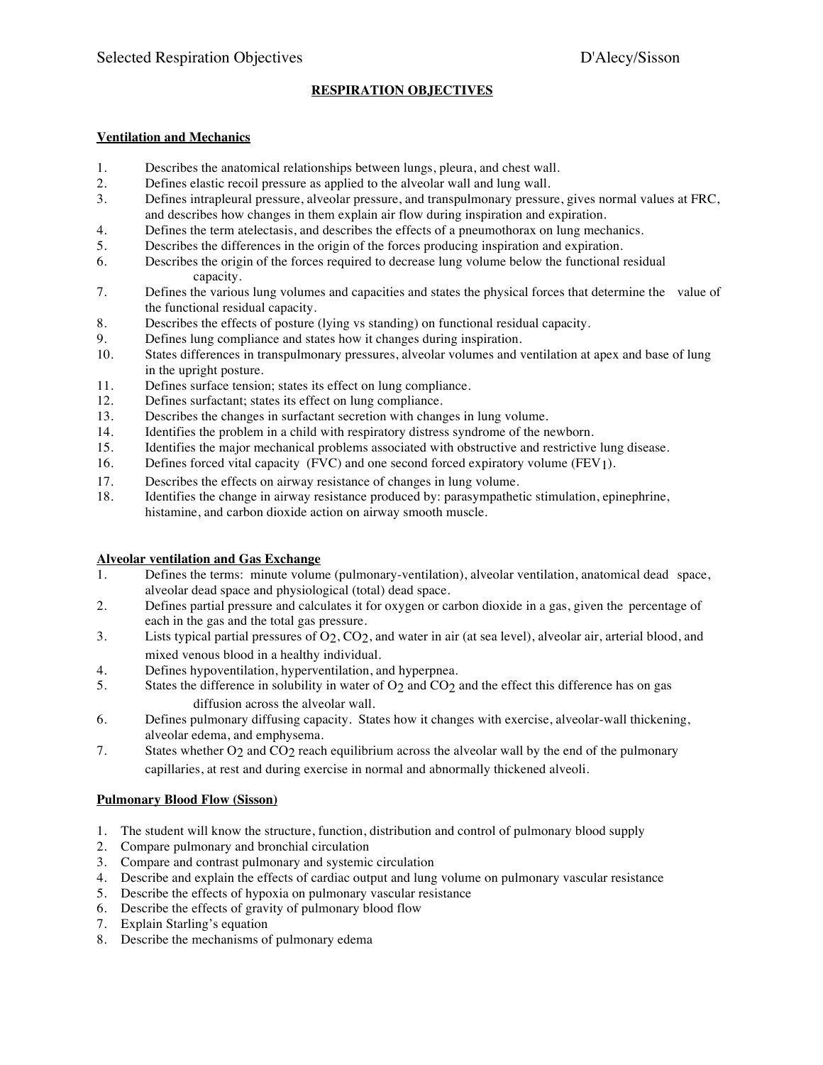## **RESPIRATION OBJECTIVES**

#### **Ventilation and Mechanics**

- 1. Describes the anatomical relationships between lungs, pleura, and chest wall.
- 2. Defines elastic recoil pressure as applied to the alveolar wall and lung wall.
- 3. Defines intrapleural pressure, alveolar pressure, and transpulmonary pressure, gives normal values at FRC, and describes how changes in them explain air flow during inspiration and expiration.
- 4. Defines the term atelectasis, and describes the effects of a pneumothorax on lung mechanics.
- 5. Describes the differences in the origin of the forces producing inspiration and expiration.<br>6. Describes the origin of the forces required to decrease lung volume below the functional r
- Describes the origin of the forces required to decrease lung volume below the functional residual capacity.
- 7. Defines the various lung volumes and capacities and states the physical forces that determine the value of the functional residual capacity.
- 8. Describes the effects of posture (lying vs standing) on functional residual capacity.
- 9. Defines lung compliance and states how it changes during inspiration.
- 10. States differences in transpulmonary pressures, alveolar volumes and ventilation at apex and base of lung in the upright posture.
- 11. Defines surface tension; states its effect on lung compliance.
- 12. Defines surfactant; states its effect on lung compliance.
- 13. Describes the changes in surfactant secretion with changes in lung volume.
- 14. Identifies the problem in a child with respiratory distress syndrome of the newborn.
- 15. Identifies the major mechanical problems associated with obstructive and restrictive lung disease.
- 16. Defines forced vital capacity (FVC) and one second forced expiratory volume (FEV1).
- 17. Describes the effects on airway resistance of changes in lung volume.
- 18. Identifies the change in airway resistance produced by: parasympathetic stimulation, epinephrine, histamine, and carbon dioxide action on airway smooth muscle.

#### **Alveolar ventilation and Gas Exchange**

- 1. Defines the terms: minute volume (pulmonary-ventilation), alveolar ventilation, anatomical dead space, alveolar dead space and physiological (total) dead space.
- 2. Defines partial pressure and calculates it for oxygen or carbon dioxide in a gas, given the percentage of each in the gas and the total gas pressure.
- 3. Lists typical partial pressures of  $O_2$ ,  $CO_2$ , and water in air (at sea level), alveolar air, arterial blood, and mixed venous blood in a healthy individual.
- 4. Defines hypoventilation, hyperventilation, and hyperpnea.
- 5. States the difference in solubility in water of O<sub>2</sub> and CO<sub>2</sub> and the effect this difference has on gas diffusion across the alveolar wall.
- 6. Defines pulmonary diffusing capacity. States how it changes with exercise, alveolar-wall thickening, alveolar edema, and emphysema.
- 7. States whether O<sub>2</sub> and CO<sub>2</sub> reach equilibrium across the alveolar wall by the end of the pulmonary capillaries, at rest and during exercise in normal and abnormally thickened alveoli.

## **Pulmonary Blood Flow (Sisson)**

- 1. The student will know the structure, function, distribution and control of pulmonary blood supply
- 2. Compare pulmonary and bronchial circulation
- 3. Compare and contrast pulmonary and systemic circulation
- 4. Describe and explain the effects of cardiac output and lung volume on pulmonary vascular resistance
- 5. Describe the effects of hypoxia on pulmonary vascular resistance
- 6. Describe the effects of gravity of pulmonary blood flow
- 7. Explain Starling's equation
- 8. Describe the mechanisms of pulmonary edema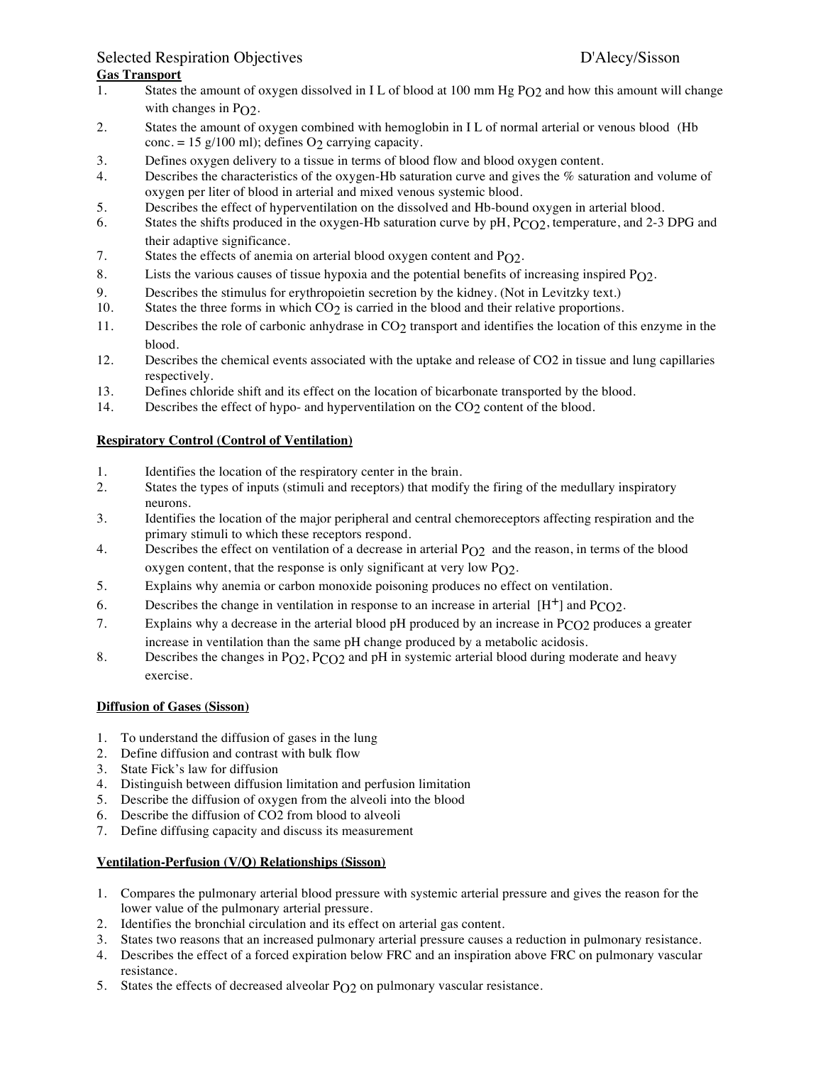# Selected Respiration Objectives **D'Alecy/Sisson**

# **Gas Transport**

- 1. States the amount of oxygen dissolved in IL of blood at 100 mm Hg PO2 and how this amount will change with changes in  $PQ2$ .
- 2. States the amount of oxygen combined with hemoglobin in I L of normal arterial or venous blood (Hb conc. = 15 g/100 ml); defines  $O_2$  carrying capacity.
- 3. Defines oxygen delivery to a tissue in terms of blood flow and blood oxygen content.
- 4. Describes the characteristics of the oxygen-Hb saturation curve and gives the % saturation and volume of oxygen per liter of blood in arterial and mixed venous systemic blood.
- 5. Describes the effect of hyperventilation on the dissolved and Hb-bound oxygen in arterial blood.
- 6. States the shifts produced in the oxygen-Hb saturation curve by pH, PCO2, temperature, and 2-3 DPG and their adaptive significance.
- 7. States the effects of anemia on arterial blood oxygen content and  $P_{O2}$ .
- 8. Lists the various causes of tissue hypoxia and the potential benefits of increasing inspired  $PQ2$ .
- 9. Describes the stimulus for erythropoietin secretion by the kidney. (Not in Levitzky text.)
- 10. States the three forms in which CO2 is carried in the blood and their relative proportions.
- 11. Describes the role of carbonic anhydrase in CO<sub>2</sub> transport and identifies the location of this enzyme in the blood.
- 12. Describes the chemical events associated with the uptake and release of CO2 in tissue and lung capillaries respectively.
- 13. Defines chloride shift and its effect on the location of bicarbonate transported by the blood.
- 14. Describes the effect of hypo- and hyperventilation on the CO2 content of the blood.

#### **Respiratory Control (Control of Ventilation)**

- 1. Identifies the location of the respiratory center in the brain.
- 2. States the types of inputs (stimuli and receptors) that modify the firing of the medullary inspiratory neurons.
- 3. Identifies the location of the major peripheral and central chemoreceptors affecting respiration and the primary stimuli to which these receptors respond.
- 4. Describes the effect on ventilation of a decrease in arterial  $P_0$ 2 and the reason, in terms of the blood oxygen content, that the response is only significant at very low PO2.
- 5. Explains why anemia or carbon monoxide poisoning produces no effect on ventilation.
- 6. Describes the change in ventilation in response to an increase in arterial  $[H^+]$  and  $PCO2$ .
- 7. Explains why a decrease in the arterial blood pH produced by an increase in PCO2 produces a greater increase in ventilation than the same pH change produced by a metabolic acidosis.
- 8. Describes the changes in P<sub>O2</sub>, P<sub>CO2</sub> and pH in systemic arterial blood during moderate and heavy exercise.

#### **Diffusion of Gases (Sisson)**

- 1. To understand the diffusion of gases in the lung
- 2. Define diffusion and contrast with bulk flow
- 3. State Fick's law for diffusion
- 4. Distinguish between diffusion limitation and perfusion limitation
- 5. Describe the diffusion of oxygen from the alveoli into the blood
- 6. Describe the diffusion of CO2 from blood to alveoli
- 7. Define diffusing capacity and discuss its measurement

## **Ventilation-Perfusion (V/Q) Relationships (Sisson)**

- 1. Compares the pulmonary arterial blood pressure with systemic arterial pressure and gives the reason for the lower value of the pulmonary arterial pressure.
- 2. Identifies the bronchial circulation and its effect on arterial gas content.
- 3. States two reasons that an increased pulmonary arterial pressure causes a reduction in pulmonary resistance.
- 4. Describes the effect of a forced expiration below FRC and an inspiration above FRC on pulmonary vascular resistance.
- 5. States the effects of decreased alveolar  $P_{\Omega}$  on pulmonary vascular resistance.